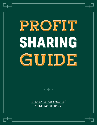# **SHARING SHARING** PROFIT GUIDE

FISHER INVESTMENTS® 401(k) SOLUTIONS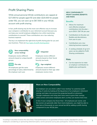# Profit Sharing Plans

While annual personal 401(k) contributions are capped at \$27,000 for people aged 50 and older (\$20,500 for people under 50), you can save up to \$67,500 in your 401(k) account with profit sharing.

In fact, profit sharing may be the most cost-effective way to increase your company's contribution to your retirement account because you can keep your overall employee obligations low while maximizing contributions to yourself. These contributions are a tax-reducing business expense.

The key is to implement the right kind of profit sharing plan for you and your business. There are [four types of profit sharing plans](https://www.fisher401k.com/blog/types-of-401k-profit-sharing-plans):



#### **New comparability (cross-testing)**

Employees receive different amounts based on unique benefit groups.



## **Pro-rata**

All employees get the same percentage of salary determined by the employer each year.



Employees receive different amounts based on their Social Security tax levels.



# **Age-weighted**

Employees receive different amounts based on their age-older employees receive more.

## **NEW COMPARABILITY PROFIT SHARING BENEFITS AND RISKS**

## **Benefits**

- Allows for maximum cost-effective employer contributions into the plan up to \$61K / \$67.5K per year
- Contributions to the plan are flexible and discretionary from year to year
- Contributions are a taxreducing business expense
- A vesting schedule of up to 6 years can be added to Profit Sharing contributions

## **Risks**

• Can be expensive to make an employer contribution to eligible plan participants



# **More on New Comparability**

An employer can use what's called "cross-testing" to customize profit sharing. It works by looking at the big picture of an employee's retirement savings and takes into account the projected benefit at retirement. Younger employees and rising stars have room to grow their savings, while owners and senior employees don't, so they can receive more now.

In fact, if your company has fewer than ~25 employees per owner, and the owners are generally older than most employees, you might be able to save tens of thousands on your annual tax bill by adding a profit sharing component to your 401(k) plan.

Investing in securities involves the risk of loss. Past performance is no guarantee of future results. Intended for use by employers considering or sponsoring retirement plans; not for personal use by plan participants. ©2022 Fisher Investments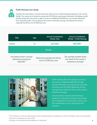

## **Profit Sharing Case Study**

Consider the chart below. A 50 year old owner doesn't have a profit sharing component in his current 401(k). This means he is limited to saving only \$27,000 per year toward retirement. By adding a profit sharing component, the owner is able to receive an additional \$40,500 per year toward retirement from corporate profits. This accelerates the owner's retirement savings, and reduces the annual corporate tax bill by over \$13,000 per year.

| Title                                                                      | Age | <b>Annual Contribution</b><br>$401(k)$ Only             | <b>Annual Contribution</b><br>401(k) + Profit Sharing                                     |
|----------------------------------------------------------------------------|-----|---------------------------------------------------------|-------------------------------------------------------------------------------------------|
| Owner                                                                      | 50  | \$27,000                                                | \$67,5001                                                                                 |
| Results                                                                    |     |                                                         |                                                                                           |
| Increased owner's annual<br>retirement savings by<br>\$40,500 <sup>2</sup> |     | Reduced corporate tax bill by<br>over \$13,000 per year | Tax savings funded nearly<br>one-third of the owner's<br>retirement savings! <sup>3</sup> |



Profit Sharing allows the business owner to put away an additional \$40,500 annually toward retirement, and reduces the corporate tax bill by over \$13,000. Effectively, the tax savings funds nearly one-third of the owner's retirement savings!

And remember, because profit sharing is going into a retirement account, the earnings are tax-deferred for the business owner, and the contributions are tax-reducing for the business.

<sup>1</sup> This is based on a 50 year old business owner maximizing their contribution for 2022 including a catch-up contribution.

- 2 Assumes a corporate tax rate of 33% .
- <sup>3</sup> Savings are tax-deferred until withdrawn in retirement.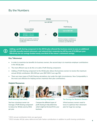# By the Numbers



**Adding a profit sharing component to the 401(k) plan allowed the business owner to save an additional \$40,500 annually toward retirement, and reduced their corporate tax bill by over \$12,000 per year. Effectively the tax savings funded nearly one-third of the owner's retirement savings.**

#### **Key Takeaways**

- In order to maximize tax benefits for business owners, the second step is to maximize employer contributions in the 401(k) plan.
- The most efficient way to do this is to add a Profit Sharing component.
- Adding a Profit Sharing component to the 401(k) plan allows the business owners to receive the maximum annual 401(k) contribution: \$61,000 per year (\$67,500 if over age 50).
- There are many types of Profit Sharing calculations, but under the right circumstances, New Comparability is the most cost-effective for helping owners maximize their plan contributions.

#### **Helpful Resources**



**[Profit Sharing Case Study](https://www.fisher401k.com/sites/default/files/media_library/pdf/ProfitSharing_CaseStudy%20LCD%20Approved%20June%2028%202021.pdf)**

See how a business owner can leverage a Profit Sharing component to reduce her 401(k) costs by \$51k per year.



**[Profit Sharing Infographic](https://www.fisher401k.com/sites/default/files/media_library/pdf/ProfitSharing_Infographic_V3.1.pdf)** 

Compare the different types of profit sharing to help determine which might be the best fit for your business.



**[Tax Savings for Business Owners](https://www.fisher401k.com/tax-savings)** 

What business owners need to know to optimize their retirement plan for huge tax savings.

4 2022 annual contribution limits are age based.

5 2022 Includes 401(k) salary deferral and Safe Harbor contributions in addition to profit sharing contribution.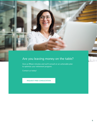

# Are you leaving money on the table?

Give us fifteen minutes and we'll consult on an actionable plan to optimize your retirement program.

Contact us today!

**[REQUEST FREE CONSULTATION](https://www.fisher401k.com/about-us/contact)**